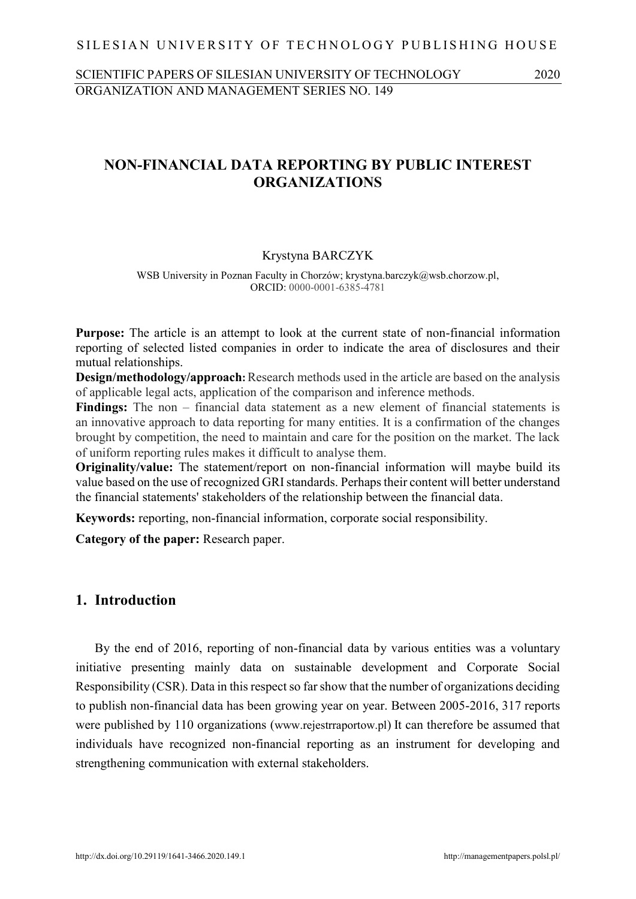## SILESIAN UNIVERSITY OF TECHNOLOGY PUBLISHING HOUSE

# SCIENTIFIC PAPERS OF SILESIAN UNIVERSITY OF TECHNOLOGY 2020 ORGANIZATION AND MANAGEMENT SERIES NO. 149

# **NON-FINANCIAL DATA REPORTING BY PUBLIC INTEREST ORGANIZATIONS**

### Krystyna BARCZYK

WSB University in Poznan Faculty in Chorzów; krystyna.barczyk@wsb.chorzow.pl, ORCID: 0000-0001-6385-4781

**Purpose:** The article is an attempt to look at the current state of non-financial information reporting of selected listed companies in order to indicate the area of disclosures and their mutual relationships.

**Design/methodology/approach**: Research methods used in the article are based on the analysis of applicable legal acts, application of the comparison and inference methods.

**Findings:** The non – financial data statement as a new element of financial statements is an innovative approach to data reporting for many entities. It is a confirmation of the changes brought by competition, the need to maintain and care for the position on the market. The lack of uniform reporting rules makes it difficult to analyse them.

**Originality/value:** The statement/report on non-financial information will maybe build its value based on the use of recognized GRI standards. Perhaps their content will better understand the financial statements' stakeholders of the relationship between the financial data.

**Keywords:** reporting, non-financial information, corporate social responsibility.

**Category of the paper:** Research paper.

# **1. Introduction**

By the end of 2016, reporting of non-financial data by various entities was a voluntary initiative presenting mainly data on sustainable development and Corporate Social Responsibility (CSR). Data in this respect so far show that the number of organizations deciding to publish non-financial data has been growing year on year. Between 2005-2016, 317 reports were published by 110 organizations (www.rejestrraportow.pl) It can therefore be assumed that individuals have recognized non-financial reporting as an instrument for developing and strengthening communication with external stakeholders.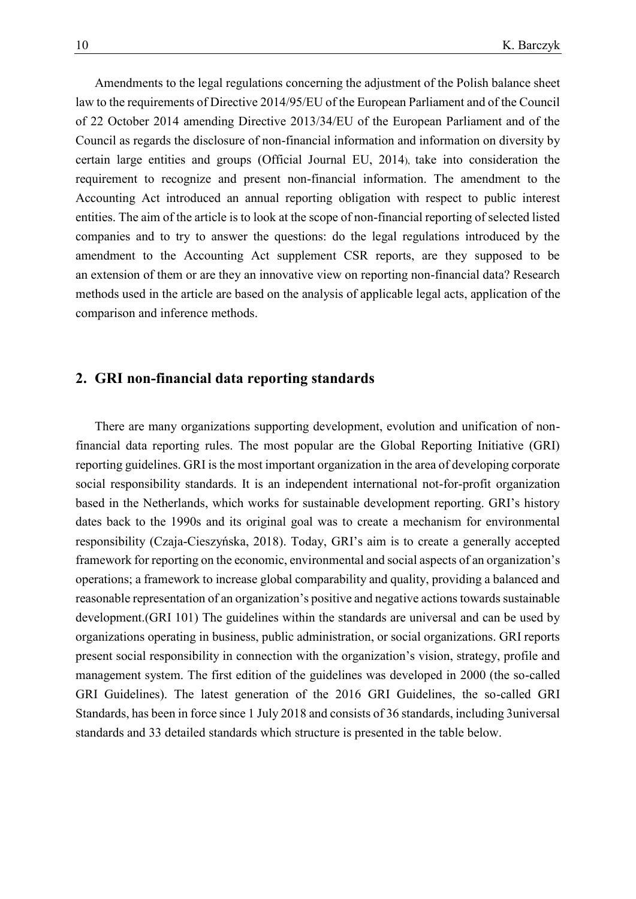Amendments to the legal regulations concerning the adjustment of the Polish balance sheet law to the requirements of Directive 2014/95/EU of the European Parliament and of the Council of 22 October 2014 amending Directive 2013/34/EU of the European Parliament and of the Council as regards the disclosure of non-financial information and information on diversity by certain large entities and groups (Official Journal EU, 2014), take into consideration the requirement to recognize and present non-financial information. The amendment to the Accounting Act introduced an annual reporting obligation with respect to public interest entities. The aim of the article is to look at the scope of non-financial reporting of selected listed companies and to try to answer the questions: do the legal regulations introduced by the amendment to the Accounting Act supplement CSR reports, are they supposed to be an extension of them or are they an innovative view on reporting non-financial data? Research methods used in the article are based on the analysis of applicable legal acts, application of the comparison and inference methods.

## **2. GRI non-financial data reporting standards**

There are many organizations supporting development, evolution and unification of nonfinancial data reporting rules. The most popular are the Global Reporting Initiative (GRI) reporting guidelines. GRI is the most important organization in the area of developing corporate social responsibility standards. It is an independent international not-for-profit organization based in the Netherlands, which works for sustainable development reporting. GRI's history dates back to the 1990s and its original goal was to create a mechanism for environmental responsibility (Czaja-Cieszyńska, 2018). Today, GRI's aim is to create a generally accepted framework for reporting on the economic, environmental and social aspects of an organization's operations; a framework to increase global comparability and quality, providing a balanced and reasonable representation of an organization's positive and negative actions towards sustainable development.(GRI 101) The guidelines within the standards are universal and can be used by organizations operating in business, public administration, or social organizations. GRI reports present social responsibility in connection with the organization's vision, strategy, profile and management system. The first edition of the guidelines was developed in 2000 (the so-called GRI Guidelines). The latest generation of the 2016 GRI Guidelines, the so-called GRI Standards, has been in force since 1 July 2018 and consists of 36 standards, including 3universal standards and 33 detailed standards which structure is presented in the table below.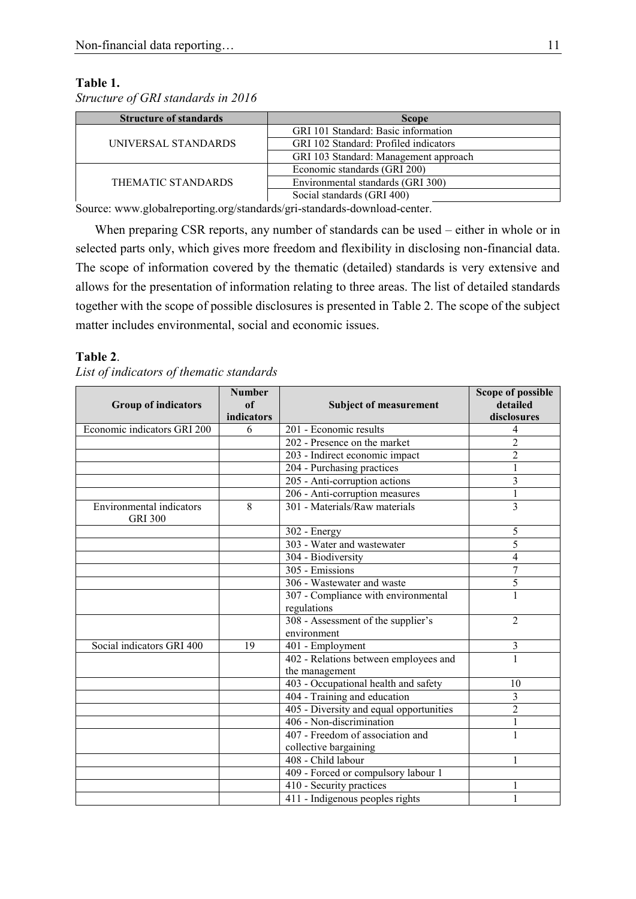### **Table 1.**

*Structure of GRI standards in 2016*

| <b>Structure of standards</b> | <b>Scope</b>                          |  |
|-------------------------------|---------------------------------------|--|
| UNIVERSAL STANDARDS           | GRI 101 Standard: Basic information   |  |
|                               | GRI 102 Standard: Profiled indicators |  |
|                               | GRI 103 Standard: Management approach |  |
| THEMATIC STANDARDS            | Economic standards (GRI 200)          |  |
|                               | Environmental standards (GRI 300)     |  |
|                               | Social standards (GRI 400)            |  |

Source: [www.globalreporting.org/standards/gri-standards-download-center.](http://www.globalreporting.org/standards/gri-standards-download-center)

When preparing CSR reports, any number of standards can be used – either in whole or in selected parts only, which gives more freedom and flexibility in disclosing non-financial data. The scope of information covered by the thematic (detailed) standards is very extensive and allows for the presentation of information relating to three areas. The list of detailed standards together with the scope of possible disclosures is presented in Table 2. The scope of the subject matter includes environmental, social and economic issues.

### **Table 2**.

| <b>Group of indicators</b>                        | <b>Number</b><br>of<br>indicators | <b>Subject of measurement</b>                                       | <b>Scope of possible</b><br>detailed<br>disclosures |
|---------------------------------------------------|-----------------------------------|---------------------------------------------------------------------|-----------------------------------------------------|
| Economic indicators GRI 200                       | 6                                 | 201 - Economic results                                              | 4                                                   |
|                                                   |                                   | 202 - Presence on the market                                        | $\overline{2}$                                      |
|                                                   |                                   | 203 - Indirect economic impact                                      | $\overline{2}$                                      |
|                                                   |                                   | 204 - Purchasing practices                                          |                                                     |
|                                                   |                                   | 205 - Anti-corruption actions                                       | 3                                                   |
|                                                   |                                   | 206 - Anti-corruption measures                                      |                                                     |
| <b>Environmental</b> indicators<br><b>GRI 300</b> | 8                                 | 301 - Materials/Raw materials                                       | 3                                                   |
|                                                   |                                   | 302 - Energy                                                        | 5                                                   |
|                                                   |                                   | 303 - Water and wastewater                                          | 5                                                   |
|                                                   |                                   | 304 - Biodiversity                                                  | 4                                                   |
|                                                   |                                   | 305 - Emissions                                                     | 7                                                   |
|                                                   |                                   | 306 - Wastewater and waste                                          | 5                                                   |
|                                                   |                                   | 307 - Compliance with environmental                                 | 1                                                   |
|                                                   |                                   | regulations                                                         |                                                     |
|                                                   |                                   | 308 - Assessment of the supplier's<br>environment                   | $\overline{2}$                                      |
| Social indicators GRI 400                         | 19                                | 401 - Employment                                                    | 3                                                   |
|                                                   |                                   | 402 - Relations between employees and                               |                                                     |
|                                                   |                                   | the management                                                      |                                                     |
|                                                   |                                   | 403 - Occupational health and safety                                | 10<br>3                                             |
|                                                   |                                   | 404 - Training and education                                        | $\overline{2}$                                      |
|                                                   |                                   | 405 - Diversity and equal opportunities<br>406 - Non-discrimination |                                                     |
|                                                   |                                   |                                                                     | 1<br>1                                              |
|                                                   |                                   | 407 - Freedom of association and                                    |                                                     |
|                                                   |                                   | collective bargaining<br>408 - Child labour                         | 1                                                   |
|                                                   |                                   |                                                                     |                                                     |
|                                                   |                                   | 409 - Forced or compulsory labour 1                                 |                                                     |
|                                                   |                                   | 410 - Security practices                                            |                                                     |
|                                                   |                                   | 411 - Indigenous peoples rights                                     |                                                     |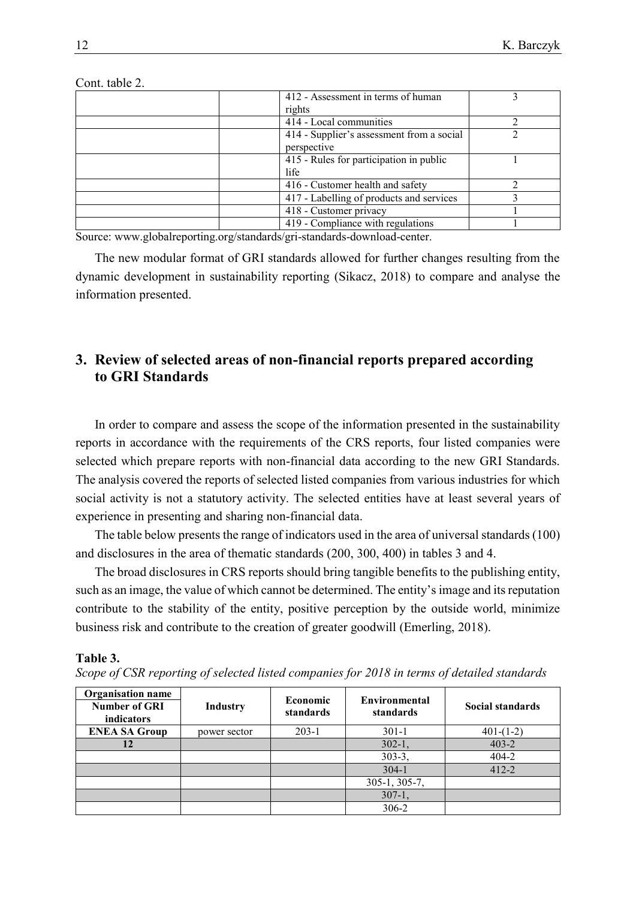| 412 - Assessment in terms of human        |  |
|-------------------------------------------|--|
| rights                                    |  |
| 414 - Local communities                   |  |
| 414 - Supplier's assessment from a social |  |
| perspective                               |  |
| 415 - Rules for participation in public   |  |
| life                                      |  |
| 416 - Customer health and safety          |  |
| 417 - Labelling of products and services  |  |
| 418 - Customer privacy                    |  |
| 419 - Compliance with regulations         |  |

Cont. table 2.

Source: [www.globalreporting.org/standards/gri-standards-download-center.](http://www.globalreporting.org/standards/gri-standards-download-center)

The new modular format of GRI standards allowed for further changes resulting from the dynamic development in sustainability reporting (Sikacz, 2018) to compare and analyse the information presented.

# **3. Review of selected areas of non-financial reports prepared according to GRI Standards**

In order to compare and assess the scope of the information presented in the sustainability reports in accordance with the requirements of the CRS reports, four listed companies were selected which prepare reports with non-financial data according to the new GRI Standards. The analysis covered the reports of selected listed companies from various industries for which social activity is not a statutory activity. The selected entities have at least several years of experience in presenting and sharing non-financial data.

The table below presents the range of indicators used in the area of universal standards (100) and disclosures in the area of thematic standards (200, 300, 400) in tables 3 and 4.

The broad disclosures in CRS reports should bring tangible benefits to the publishing entity, such as an image, the value of which cannot be determined. The entity's image and its reputation contribute to the stability of the entity, positive perception by the outside world, minimize business risk and contribute to the creation of greater goodwill (Emerling, 2018).

**Table 3.**

*Scope of CSR reporting of selected listed companies for 2018 in terms of detailed standards*

| <b>Organisation name</b><br><b>Number of GRI</b><br>indicators | <b>Industry</b> | Economic<br>standards | Environmental<br>standards | Social standards |
|----------------------------------------------------------------|-----------------|-----------------------|----------------------------|------------------|
| <b>ENEA SA Group</b>                                           | power sector    | $203-1$               | $301-1$                    | $401-(1-2)$      |
| 12                                                             |                 |                       | $302 - 1.$                 | $403 - 2$        |
|                                                                |                 |                       | $303-3,$                   | 404-2            |
|                                                                |                 |                       | $304-1$                    | $412 - 2$        |
|                                                                |                 |                       | $305-1, 305-7,$            |                  |
|                                                                |                 |                       | $307-1,$                   |                  |
|                                                                |                 |                       | 306-2                      |                  |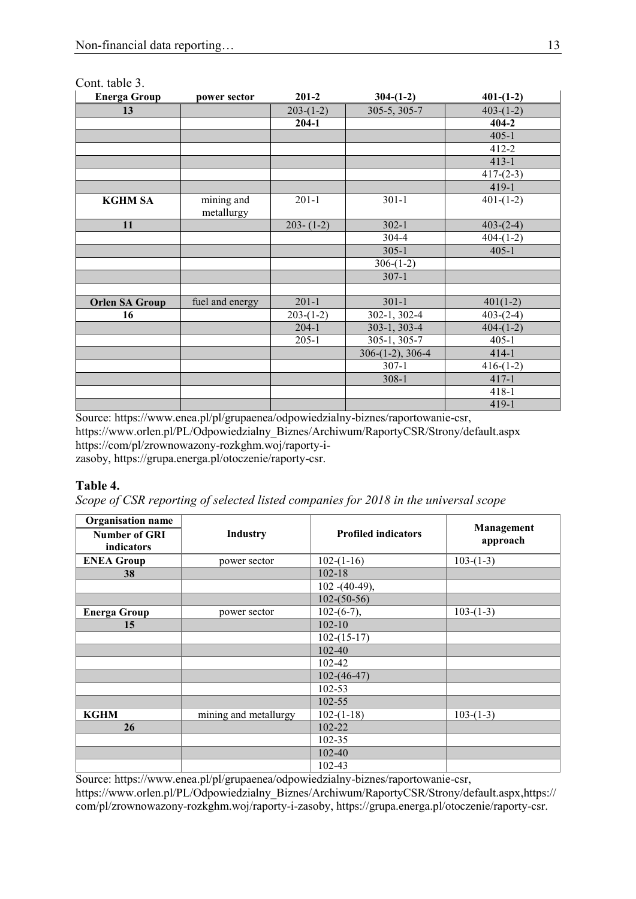| COM. MOIV J.<br><b>Energa Group</b> | power sector             | $201 - 2$     | $304-(1-2)$        | $401-(1-2)$ |
|-------------------------------------|--------------------------|---------------|--------------------|-------------|
| 13                                  |                          | $203-(1-2)$   | 305-5, 305-7       | $403-(1-2)$ |
|                                     |                          | $204-1$       |                    | $404 - 2$   |
|                                     |                          |               |                    | $405 - 1$   |
|                                     |                          |               |                    | $412 - 2$   |
|                                     |                          |               |                    | $413 - 1$   |
|                                     |                          |               |                    | $417-(2-3)$ |
|                                     |                          |               |                    | 419-1       |
| <b>KGHM SA</b>                      | mining and<br>metallurgy | $201 - 1$     | $301 - 1$          | $401-(1-2)$ |
| 11                                  |                          | $203 - (1-2)$ | $302 - 1$          | $403-(2-4)$ |
|                                     |                          |               | 304-4              | $404-(1-2)$ |
|                                     |                          |               | $305 - 1$          | $405 - 1$   |
|                                     |                          |               | $306-(1-2)$        |             |
|                                     |                          |               | $307 - 1$          |             |
|                                     |                          |               |                    |             |
| <b>Orlen SA Group</b>               | fuel and energy          | $201 - 1$     | $301 - 1$          | $401(1-2)$  |
| 16                                  |                          | $203-(1-2)$   | 302-1, 302-4       | $403-(2-4)$ |
|                                     |                          | $204-1$       | 303-1, 303-4       | $404-(1-2)$ |
|                                     |                          | $205-1$       | $305-1, 305-7$     | $405 - 1$   |
|                                     |                          |               | $306-(1-2), 306-4$ | $414 - 1$   |
|                                     |                          |               | $307-1$            | $416-(1-2)$ |
|                                     |                          |               | $308 - 1$          | $417 - 1$   |
|                                     |                          |               |                    | $418 - 1$   |
|                                     |                          |               |                    | 419-1       |

### Cont. table 3.

Source: [https://www.enea.pl/pl/grupaenea/odpowiedzialny-biznes/raportowanie-csr,](https://www.enea.pl/pl/grupaenea/odpowiedzialny-biznes/raportowanie-csr) [https://www.orlen.pl/PL/Odpowiedzialny\\_Biznes/Archiwum/RaportyCSR/Strony/default.aspx](https://www.orlen.pl/PL/Odpowiedzialny_Biznes/Archiwum/RaportyCSR/Strony/default.aspx) [https://com/pl/zrownowazony-rozkghm.woj/raporty-i](https://com/pl/zrownowazony-rozkghm.woj/raporty-i-zasoby)[zasoby,](https://com/pl/zrownowazony-rozkghm.woj/raporty-i-zasoby) [https://grupa.energa.pl/otoczenie/raporty-csr.](https://grupa.energa.pl/otoczenie/raporty-csr)

## **Table 4.**

*Scope of CSR reporting of selected listed companies for 2018 in the universal scope*

| <b>Organisation name</b> |                       |                            |                        |
|--------------------------|-----------------------|----------------------------|------------------------|
| <b>Number of GRI</b>     | <b>Industry</b>       | <b>Profiled indicators</b> | Management<br>approach |
| indicators               |                       |                            |                        |
| <b>ENEA Group</b>        | power sector          | $102-(1-16)$               | $103-(1-3)$            |
| 38                       |                       | $102 - 18$                 |                        |
|                          |                       | $102 - (40-49)$ ,          |                        |
|                          |                       | $102-(50-56)$              |                        |
| <b>Energa Group</b>      | power sector          | $102-(6-7)$ ,              | $103-(1-3)$            |
| 15                       |                       | $102 - 10$                 |                        |
|                          |                       | $102-(15-17)$              |                        |
|                          |                       | 102-40                     |                        |
|                          |                       | 102-42                     |                        |
|                          |                       | $102-(46-47)$              |                        |
|                          |                       | 102-53                     |                        |
|                          |                       | 102-55                     |                        |
| <b>KGHM</b>              | mining and metallurgy | $102 - (1 - 18)$           | $103-(1-3)$            |
| 26                       |                       | 102-22                     |                        |
|                          |                       | 102-35                     |                        |
|                          |                       | 102-40                     |                        |
|                          |                       | 102-43                     |                        |

Source: https://www.enea.pl/pl/grupaenea/odpowiedzialny-biznes/raportowanie-csr,

https://www.orlen.pl/PL/Odpowiedzialny\_Biznes/Archiwum/RaportyCSR/Strony/default.aspx,https:// com/pl/zrownowazony-rozkghm.woj/raporty-i-zasoby, https://grupa.energa.pl/otoczenie/raporty-csr.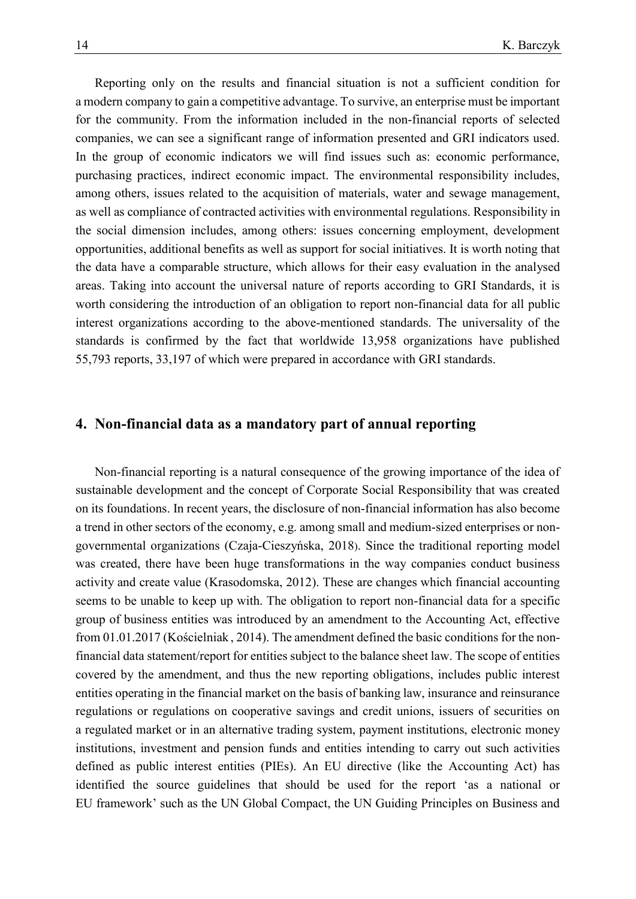Reporting only on the results and financial situation is not a sufficient condition for a modern company to gain a competitive advantage. To survive, an enterprise must be important for the community. From the information included in the non-financial reports of selected companies, we can see a significant range of information presented and GRI indicators used. In the group of economic indicators we will find issues such as: economic performance, purchasing practices, indirect economic impact. The environmental responsibility includes, among others, issues related to the acquisition of materials, water and sewage management, as well as compliance of contracted activities with environmental regulations. Responsibility in the social dimension includes, among others: issues concerning employment, development opportunities, additional benefits as well as support for social initiatives. It is worth noting that the data have a comparable structure, which allows for their easy evaluation in the analysed areas. Taking into account the universal nature of reports according to GRI Standards, it is worth considering the introduction of an obligation to report non-financial data for all public interest organizations according to the above-mentioned standards. The universality of the standards is confirmed by the fact that worldwide 13,958 organizations have published 55,793 reports, 33,197 of which were prepared in accordance with GRI standards.

# **4. Non-financial data as a mandatory part of annual reporting**

Non-financial reporting is a natural consequence of the growing importance of the idea of sustainable development and the concept of Corporate Social Responsibility that was created on its foundations. In recent years, the disclosure of non-financial information has also become a trend in other sectors of the economy, e.g. among small and medium-sized enterprises or nongovernmental organizations (Czaja-Cieszyńska, 2018). Since the traditional reporting model was created, there have been huge transformations in the way companies conduct business activity and create value (Krasodomska, 2012). These are changes which financial accounting seems to be unable to keep up with. The obligation to report non-financial data for a specific group of business entities was introduced by an amendment to the Accounting Act, effective from 01.01.2017 (Kościelniak , 2014). The amendment defined the basic conditions for the nonfinancial data statement/report for entities subject to the balance sheet law. The scope of entities covered by the amendment, and thus the new reporting obligations, includes public interest entities operating in the financial market on the basis of banking law, insurance and reinsurance regulations or regulations on cooperative savings and credit unions, issuers of securities on a regulated market or in an alternative trading system, payment institutions, electronic money institutions, investment and pension funds and entities intending to carry out such activities defined as public interest entities (PIEs). An EU directive (like the Accounting Act) has identified the source guidelines that should be used for the report 'as a national or EU framework' such as the UN Global Compact, the UN Guiding Principles on Business and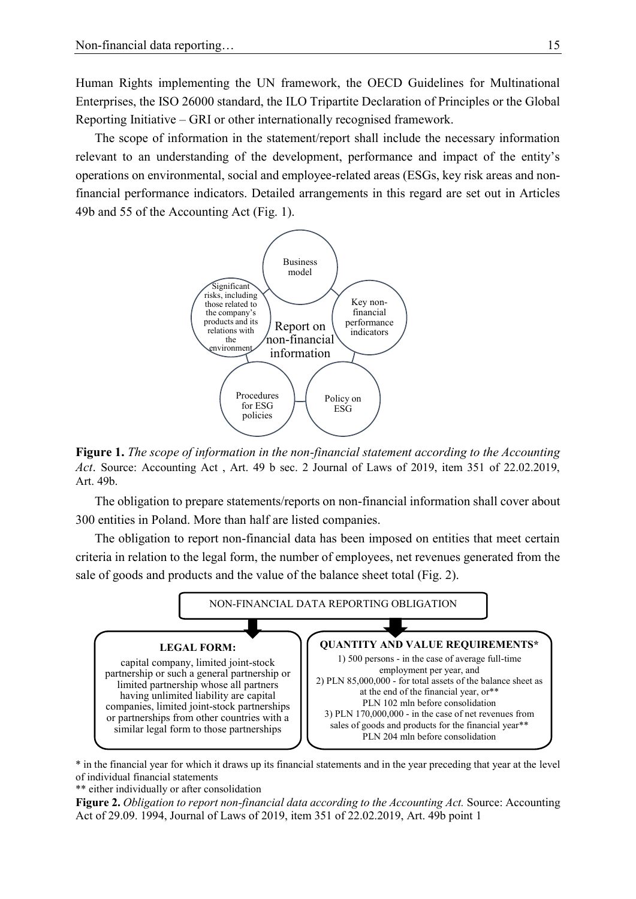Human Rights implementing the UN framework, the OECD Guidelines for Multinational Enterprises, the ISO 26000 standard, the ILO Tripartite Declaration of Principles or the Global Reporting Initiative – GRI or other internationally recognised framework.

The scope of information in the statement/report shall include the necessary information relevant to an understanding of the development, performance and impact of the entity's operations on environmental, social and employee-related areas (ESGs, key risk areas and nonfinancial performance indicators. Detailed arrangements in this regard are set out in Articles 49b and 55 of the Accounting Act (Fig. 1).



**Figure 1.** *The scope of information in the non-financial statement according to the Accounting Act*. Source: Accounting Act , Art. 49 b sec. 2 Journal of Laws of 2019, item 351 of 22.02.2019, Art. 49b.

The obligation to prepare statements/reports on non-financial information shall cover about 300 entities in Poland. More than half are listed companies.

The obligation to report non-financial data has been imposed on entities that meet certain criteria in relation to the legal form, the number of employees, net revenues generated from the sale of goods and products and the value of the balance sheet total (Fig. 2).



\* in the financial year for which it draws up its financial statements and in the year preceding that year at the level of individual financial statements

\*\* either individually or after consolidation

**Figure 2.** *Obligation to report non-financial data according to the Accounting Act.* Source: Accounting Act of 29.09. 1994, Journal of Laws of 2019, item 351 of 22.02.2019, Art. 49b point 1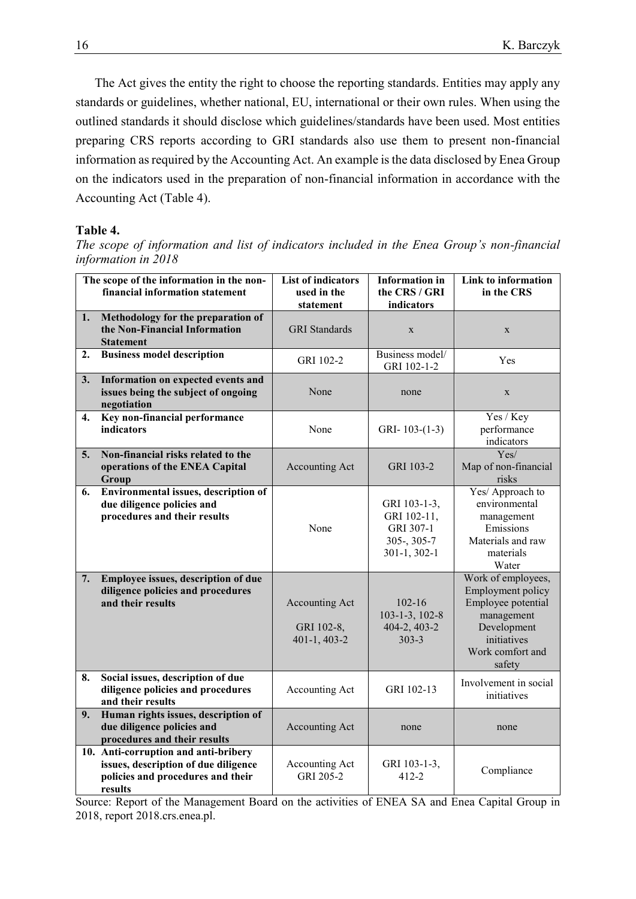The Act gives the entity the right to choose the reporting standards. Entities may apply any standards or guidelines, whether national, EU, international or their own rules. When using the outlined standards it should disclose which guidelines/standards have been used. Most entities preparing CRS reports according to GRI standards also use them to present non-financial information as required by the Accounting Act. An example is the data disclosed by Enea Group on the indicators used in the preparation of non-financial information in accordance with the Accounting Act (Table 4).

#### **Table 4.**

*The scope of information and list of indicators included in the Enea Group's non-financial information in 2018*

|                  | The scope of the information in the non-<br>financial information statement                                                  | <b>List of indicators</b><br>used in the<br>statement | <b>Information</b> in<br>the CRS / GRI<br>indicators                          | Link to information<br>in the CRS                                                                                                       |
|------------------|------------------------------------------------------------------------------------------------------------------------------|-------------------------------------------------------|-------------------------------------------------------------------------------|-----------------------------------------------------------------------------------------------------------------------------------------|
| 1.               | Methodology for the preparation of<br>the Non-Financial Information<br><b>Statement</b>                                      | <b>GRI</b> Standards                                  | $\mathbf X$                                                                   | X                                                                                                                                       |
| $\overline{2}$ . | <b>Business model description</b>                                                                                            | GRI 102-2                                             | Business model/<br>GRI 102-1-2                                                | Yes                                                                                                                                     |
| 3.               | Information on expected events and<br>issues being the subject of ongoing<br>negotiation                                     | None                                                  | none                                                                          | $\mathbf X$                                                                                                                             |
| 4.               | Key non-financial performance<br>indicators                                                                                  | None                                                  | GRI-103- $(1-3)$                                                              | Yes / Key<br>performance<br>indicators                                                                                                  |
| 5.               | Non-financial risks related to the<br>operations of the ENEA Capital<br>Group                                                | Accounting Act                                        | GRI 103-2                                                                     | Yes/<br>Map of non-financial<br>risks                                                                                                   |
| 6.               | Environmental issues, description of<br>due diligence policies and<br>procedures and their results                           | None                                                  | GRI 103-1-3,<br>GRI 102-11,<br>GRI 307-1<br>$305 - 305 - 7$<br>$301-1, 302-1$ | Yes/ Approach to<br>environmental<br>management<br>Emissions<br>Materials and raw<br>materials<br>Water                                 |
| 7.               | Employee issues, description of due<br>diligence policies and procedures<br>and their results                                | Accounting Act<br>GRI 102-8,<br>401-1, 403-2          | $102 - 16$<br>$103 - 1 - 3$ , $102 - 8$<br>404-2, 403-2<br>$303 - 3$          | Work of employees,<br>Employment policy<br>Employee potential<br>management<br>Development<br>initiatives<br>Work comfort and<br>safety |
| 8.               | Social issues, description of due<br>diligence policies and procedures<br>and their results                                  | Accounting Act                                        | GRI 102-13                                                                    | Involvement in social<br>initiatives                                                                                                    |
| 9.               | Human rights issues, description of<br>due diligence policies and<br>procedures and their results                            | Accounting Act                                        | none                                                                          | none                                                                                                                                    |
|                  | 10. Anti-corruption and anti-bribery<br>issues, description of due diligence<br>policies and procedures and their<br>results | Accounting Act<br>GRI 205-2                           | GRI 103-1-3,<br>$412 - 2$                                                     | Compliance                                                                                                                              |

Source: Report of the Management Board on the activities of ENEA SA and Enea Capital Group in 2018, report 2018.crs.enea.pl.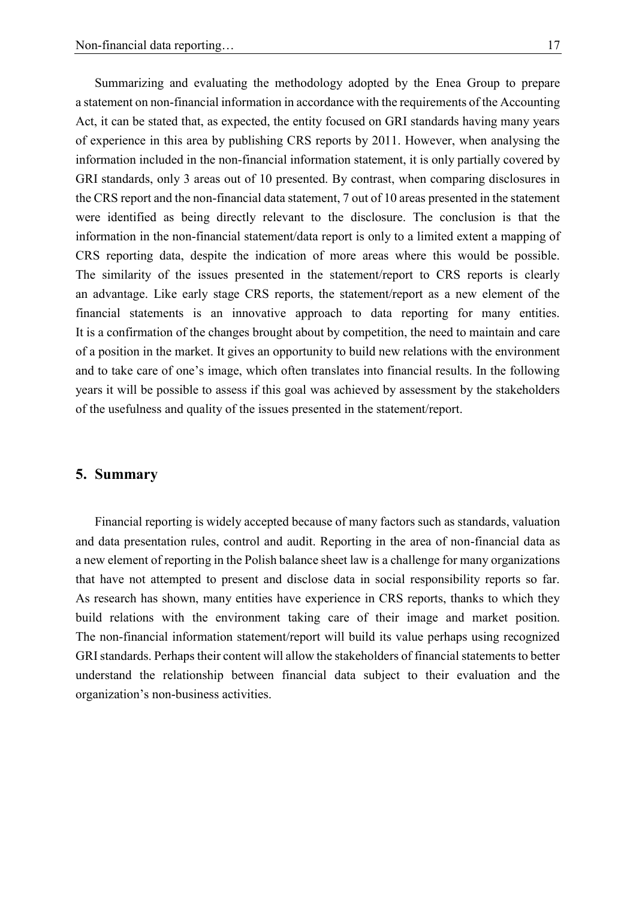Summarizing and evaluating the methodology adopted by the Enea Group to prepare a statement on non-financial information in accordance with the requirements of the Accounting Act, it can be stated that, as expected, the entity focused on GRI standards having many years of experience in this area by publishing CRS reports by 2011. However, when analysing the information included in the non-financial information statement, it is only partially covered by GRI standards, only 3 areas out of 10 presented. By contrast, when comparing disclosures in the CRS report and the non-financial data statement, 7 out of 10 areas presented in the statement were identified as being directly relevant to the disclosure. The conclusion is that the information in the non-financial statement/data report is only to a limited extent a mapping of CRS reporting data, despite the indication of more areas where this would be possible. The similarity of the issues presented in the statement/report to CRS reports is clearly an advantage. Like early stage CRS reports, the statement/report as a new element of the financial statements is an innovative approach to data reporting for many entities. It is a confirmation of the changes brought about by competition, the need to maintain and care of a position in the market. It gives an opportunity to build new relations with the environment and to take care of one's image, which often translates into financial results. In the following years it will be possible to assess if this goal was achieved by assessment by the stakeholders of the usefulness and quality of the issues presented in the statement/report.

## **5. Summary**

Financial reporting is widely accepted because of many factors such as standards, valuation and data presentation rules, control and audit. Reporting in the area of non-financial data as a new element of reporting in the Polish balance sheet law is a challenge for many organizations that have not attempted to present and disclose data in social responsibility reports so far. As research has shown, many entities have experience in CRS reports, thanks to which they build relations with the environment taking care of their image and market position. The non-financial information statement/report will build its value perhaps using recognized GRI standards. Perhaps their content will allow the stakeholders of financial statements to better understand the relationship between financial data subject to their evaluation and the organization's non-business activities.